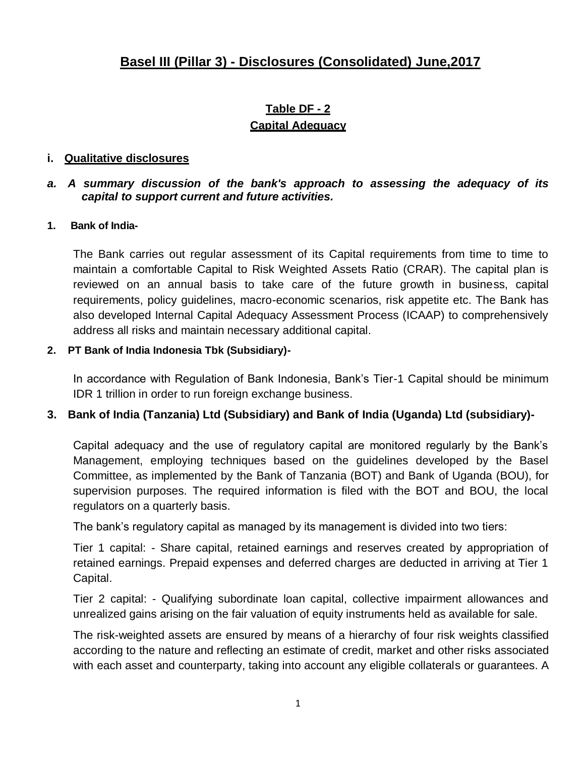# **Basel III (Pillar 3) - Disclosures (Consolidated) June,2017**

# **Table DF - 2 Capital Adequacy**

#### **i. Qualitative disclosures**

#### *a. A summary discussion of the bank's approach to assessing the adequacy of its capital to support current and future activities.*

#### **1. Bank of India-**

The Bank carries out regular assessment of its Capital requirements from time to time to maintain a comfortable Capital to Risk Weighted Assets Ratio (CRAR). The capital plan is reviewed on an annual basis to take care of the future growth in business, capital requirements, policy guidelines, macro-economic scenarios, risk appetite etc. The Bank has also developed Internal Capital Adequacy Assessment Process (ICAAP) to comprehensively address all risks and maintain necessary additional capital.

#### **2. PT Bank of India Indonesia Tbk (Subsidiary)-**

In accordance with Regulation of Bank Indonesia, Bank"s Tier-1 Capital should be minimum IDR 1 trillion in order to run foreign exchange business.

#### **3. Bank of India (Tanzania) Ltd (Subsidiary) and Bank of India (Uganda) Ltd (subsidiary)-**

Capital adequacy and the use of regulatory capital are monitored regularly by the Bank"s Management, employing techniques based on the guidelines developed by the Basel Committee, as implemented by the Bank of Tanzania (BOT) and Bank of Uganda (BOU), for supervision purposes. The required information is filed with the BOT and BOU, the local regulators on a quarterly basis.

The bank"s regulatory capital as managed by its management is divided into two tiers:

Tier 1 capital: - Share capital, retained earnings and reserves created by appropriation of retained earnings. Prepaid expenses and deferred charges are deducted in arriving at Tier 1 Capital.

Tier 2 capital: - Qualifying subordinate loan capital, collective impairment allowances and unrealized gains arising on the fair valuation of equity instruments held as available for sale.

The risk-weighted assets are ensured by means of a hierarchy of four risk weights classified according to the nature and reflecting an estimate of credit, market and other risks associated with each asset and counterparty, taking into account any eligible collaterals or guarantees. A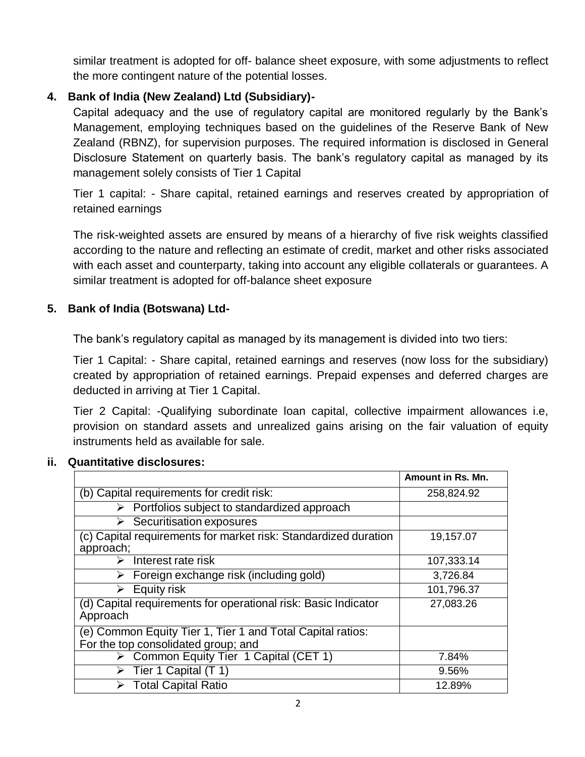similar treatment is adopted for off- balance sheet exposure, with some adjustments to reflect the more contingent nature of the potential losses.

### **4. Bank of India (New Zealand) Ltd (Subsidiary)-**

Capital adequacy and the use of regulatory capital are monitored regularly by the Bank"s Management, employing techniques based on the guidelines of the Reserve Bank of New Zealand (RBNZ), for supervision purposes. The required information is disclosed in General Disclosure Statement on quarterly basis. The bank"s regulatory capital as managed by its management solely consists of Tier 1 Capital

Tier 1 capital: - Share capital, retained earnings and reserves created by appropriation of retained earnings

The risk-weighted assets are ensured by means of a hierarchy of five risk weights classified according to the nature and reflecting an estimate of credit, market and other risks associated with each asset and counterparty, taking into account any eligible collaterals or guarantees. A similar treatment is adopted for off-balance sheet exposure

#### **5. Bank of India (Botswana) Ltd-**

The bank"s regulatory capital as managed by its management is divided into two tiers:

Tier 1 Capital: - Share capital, retained earnings and reserves (now loss for the subsidiary) created by appropriation of retained earnings. Prepaid expenses and deferred charges are deducted in arriving at Tier 1 Capital.

Tier 2 Capital: -Qualifying subordinate loan capital, collective impairment allowances i.e, provision on standard assets and unrealized gains arising on the fair valuation of equity instruments held as available for sale.

|                                                                              | Amount in Rs. Mn. |
|------------------------------------------------------------------------------|-------------------|
| (b) Capital requirements for credit risk:                                    | 258,824.92        |
| Portfolios subject to standardized approach<br>➤                             |                   |
| Securitisation exposures<br>➤                                                |                   |
| (c) Capital requirements for market risk: Standardized duration<br>approach; | 19,157.07         |
| Interest rate risk<br>➤                                                      | 107,333.14        |
| Foreign exchange risk (including gold)                                       | 3,726.84          |
| Equity risk<br>⋗                                                             | 101,796.37        |
| (d) Capital requirements for operational risk: Basic Indicator<br>Approach   | 27,083.26         |
| (e) Common Equity Tier 1, Tier 1 and Total Capital ratios:                   |                   |
| For the top consolidated group; and                                          |                   |
| > Common Equity Tier 1 Capital (CET 1)                                       | 7.84%             |
| Tier 1 Capital (T 1)                                                         | 9.56%             |
| <b>Total Capital Ratio</b>                                                   | 12.89%            |

#### **ii. Quantitative disclosures:**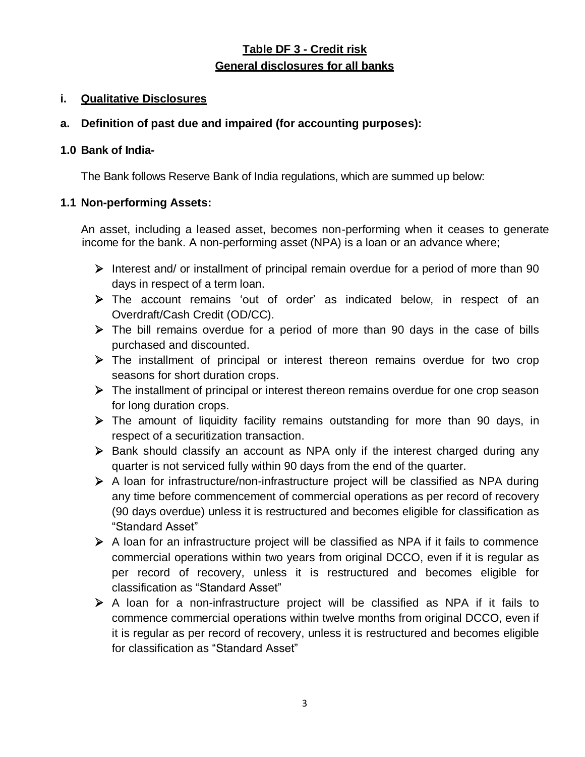### **Table DF 3 - Credit risk General disclosures for all banks**

#### **i. Qualitative Disclosures**

#### **a. Definition of past due and impaired (for accounting purposes):**

#### **1.0 Bank of India-**

The Bank follows Reserve Bank of India regulations, which are summed up below:

### **1.1 Non-performing Assets:**

An asset, including a leased asset, becomes non-performing when it ceases to generate income for the bank. A non-performing asset (NPA) is a loan or an advance where;

- $\triangleright$  Interest and/ or installment of principal remain overdue for a period of more than 90 days in respect of a term loan.
- The account remains "out of order" as indicated below, in respect of an Overdraft/Cash Credit (OD/CC).
- $\triangleright$  The bill remains overdue for a period of more than 90 days in the case of bills purchased and discounted.
- The installment of principal or interest thereon remains overdue for two crop seasons for short duration crops.
- $\triangleright$  The installment of principal or interest thereon remains overdue for one crop season for long duration crops.
- $\triangleright$  The amount of liquidity facility remains outstanding for more than 90 days, in respect of a securitization transaction.
- Bank should classify an account as NPA only if the interest charged during any quarter is not serviced fully within 90 days from the end of the quarter.
- $\triangleright$  A loan for infrastructure/non-infrastructure project will be classified as NPA during any time before commencement of commercial operations as per record of recovery (90 days overdue) unless it is restructured and becomes eligible for classification as "Standard Asset"
- $\triangleright$  A loan for an infrastructure project will be classified as NPA if it fails to commence commercial operations within two years from original DCCO, even if it is regular as per record of recovery, unless it is restructured and becomes eligible for classification as "Standard Asset"
- $\triangleright$  A loan for a non-infrastructure project will be classified as NPA if it fails to commence commercial operations within twelve months from original DCCO, even if it is regular as per record of recovery, unless it is restructured and becomes eligible for classification as "Standard Asset"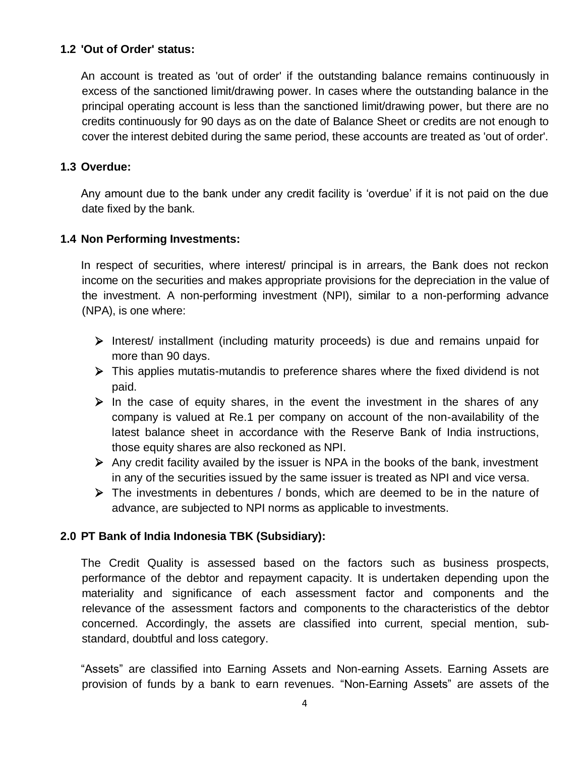#### **1.2 'Out of Order' status:**

An account is treated as 'out of order' if the outstanding balance remains continuously in excess of the sanctioned limit/drawing power. In cases where the outstanding balance in the principal operating account is less than the sanctioned limit/drawing power, but there are no credits continuously for 90 days as on the date of Balance Sheet or credits are not enough to cover the interest debited during the same period, these accounts are treated as 'out of order'.

#### **1.3 Overdue:**

Any amount due to the bank under any credit facility is "overdue" if it is not paid on the due date fixed by the bank.

### **1.4 Non Performing Investments:**

In respect of securities, where interest/ principal is in arrears, the Bank does not reckon income on the securities and makes appropriate provisions for the depreciation in the value of the investment. A non-performing investment (NPI), similar to a non-performing advance (NPA), is one where:

- $\triangleright$  Interest/ installment (including maturity proceeds) is due and remains unpaid for more than 90 days.
- This applies mutatis-mutandis to preference shares where the fixed dividend is not paid.
- $\triangleright$  In the case of equity shares, in the event the investment in the shares of any company is valued at Re.1 per company on account of the non-availability of the latest balance sheet in accordance with the Reserve Bank of India instructions, those equity shares are also reckoned as NPI.
- $\triangleright$  Any credit facility availed by the issuer is NPA in the books of the bank, investment in any of the securities issued by the same issuer is treated as NPI and vice versa.
- $\triangleright$  The investments in debentures / bonds, which are deemed to be in the nature of advance, are subjected to NPI norms as applicable to investments.

#### **2.0 PT Bank of India Indonesia TBK (Subsidiary):**

The Credit Quality is assessed based on the factors such as business prospects, performance of the debtor and repayment capacity. It is undertaken depending upon the materiality and significance of each assessment factor and components and the relevance of the assessment factors and components to the characteristics of the debtor concerned. Accordingly, the assets are classified into current, special mention, substandard, doubtful and loss category.

"Assets" are classified into Earning Assets and Non-earning Assets. Earning Assets are provision of funds by a bank to earn revenues. "Non-Earning Assets" are assets of the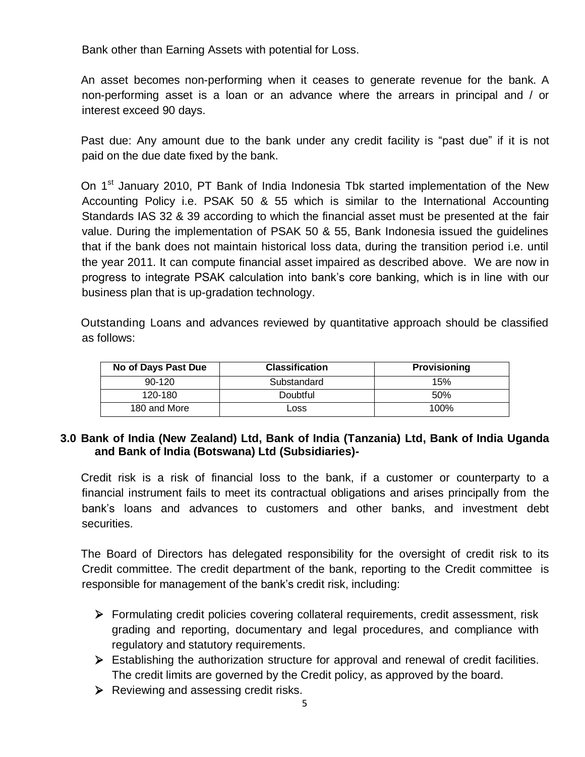Bank other than Earning Assets with potential for Loss.

An asset becomes non-performing when it ceases to generate revenue for the bank. A non-performing asset is a loan or an advance where the arrears in principal and / or interest exceed 90 days.

Past due: Any amount due to the bank under any credit facility is "past due" if it is not paid on the due date fixed by the bank.

On 1<sup>st</sup> January 2010, PT Bank of India Indonesia Tbk started implementation of the New Accounting Policy i.e. PSAK 50 & 55 which is similar to the International Accounting Standards IAS 32 & 39 according to which the financial asset must be presented at the fair value. During the implementation of PSAK 50 & 55, Bank Indonesia issued the guidelines that if the bank does not maintain historical loss data, during the transition period i.e. until the year 2011. It can compute financial asset impaired as described above. We are now in progress to integrate PSAK calculation into bank"s core banking, which is in line with our business plan that is up-gradation technology.

Outstanding Loans and advances reviewed by quantitative approach should be classified as follows:

| No of Days Past Due | <b>Classification</b> | <b>Provisioning</b> |
|---------------------|-----------------------|---------------------|
| $90 - 120$          | Substandard           | 15%                 |
| 120-180             | Doubtful              | 50%                 |
| 180 and More        | Loss                  | 100%                |

#### **3.0 Bank of India (New Zealand) Ltd, Bank of India (Tanzania) Ltd, Bank of India Uganda and Bank of India (Botswana) Ltd (Subsidiaries)-**

Credit risk is a risk of financial loss to the bank, if a customer or counterparty to a financial instrument fails to meet its contractual obligations and arises principally from the bank"s loans and advances to customers and other banks, and investment debt securities.

The Board of Directors has delegated responsibility for the oversight of credit risk to its Credit committee. The credit department of the bank, reporting to the Credit committee is responsible for management of the bank"s credit risk, including:

- Formulating credit policies covering collateral requirements, credit assessment, risk grading and reporting, documentary and legal procedures, and compliance with regulatory and statutory requirements.
- $\triangleright$  Establishing the authorization structure for approval and renewal of credit facilities. The credit limits are governed by the Credit policy, as approved by the board.
- $\triangleright$  Reviewing and assessing credit risks.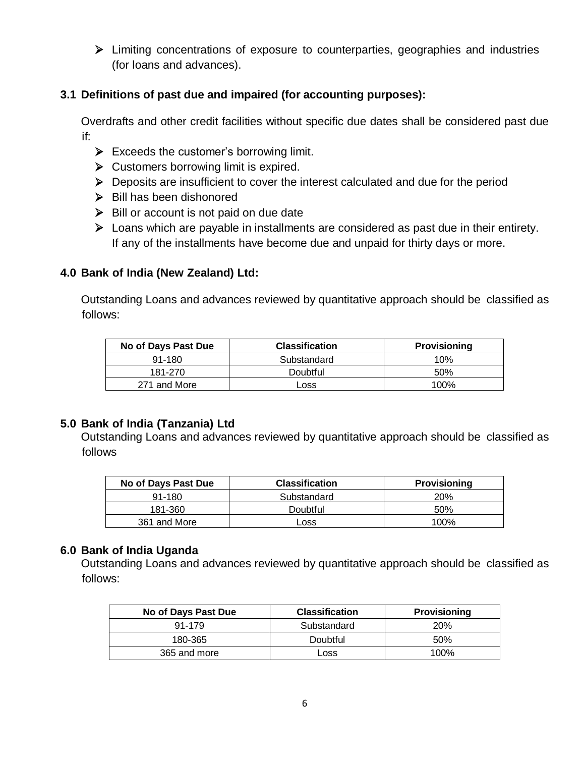Limiting concentrations of exposure to counterparties, geographies and industries (for loans and advances).

### **3.1 Definitions of past due and impaired (for accounting purposes):**

Overdrafts and other credit facilities without specific due dates shall be considered past due if:

- $\triangleright$  Exceeds the customer's borrowing limit.
- $\triangleright$  Customers borrowing limit is expired.
- $\triangleright$  Deposits are insufficient to cover the interest calculated and due for the period
- $\triangleright$  Bill has been dishonored
- $\triangleright$  Bill or account is not paid on due date
- Loans which are payable in installments are considered as past due in their entirety. If any of the installments have become due and unpaid for thirty days or more.

### **4.0 Bank of India (New Zealand) Ltd:**

Outstanding Loans and advances reviewed by quantitative approach should be classified as follows:

| No of Days Past Due | <b>Classification</b> | <b>Provisioning</b> |
|---------------------|-----------------------|---------------------|
| $91 - 180$          | Substandard           | 10%                 |
| 181-270             | Doubtful              | .50%                |
| 271 and More        | Loss                  | 100%                |

### **5.0 Bank of India (Tanzania) Ltd**

Outstanding Loans and advances reviewed by quantitative approach should be classified as follows

| No of Days Past Due | <b>Classification</b> | <b>Provisioning</b> |
|---------------------|-----------------------|---------------------|
| $91 - 180$          | Substandard           | 20%                 |
| 181-360             | Doubtful              | 50%                 |
| 361 and More        | LOSS                  | 100%                |

### **6.0 Bank of India Uganda**

Outstanding Loans and advances reviewed by quantitative approach should be classified as follows:

| No of Days Past Due | <b>Classification</b> | <b>Provisioning</b> |
|---------------------|-----------------------|---------------------|
| 91-179              | Substandard           | <b>20%</b>          |
| 180-365             | Doubtful              | 50%                 |
| 365 and more        | Loss                  | 100%                |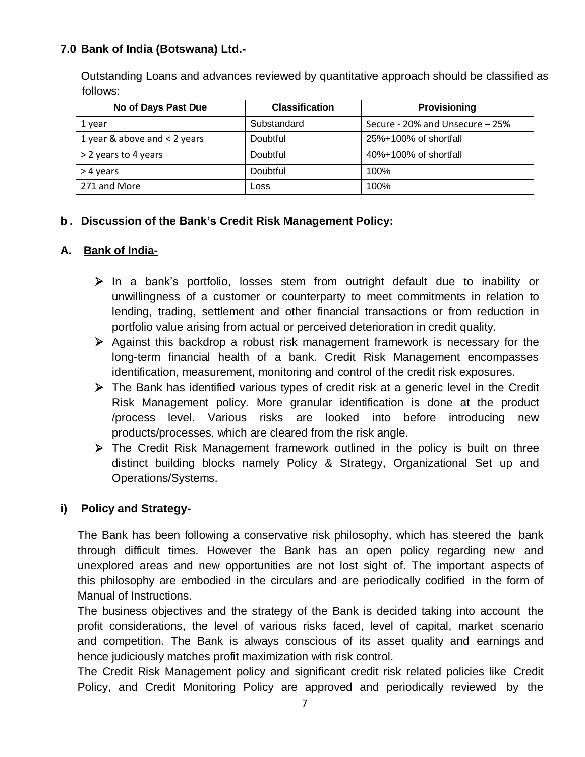### **7.0 Bank of India (Botswana) Ltd.-**

Outstanding Loans and advances reviewed by quantitative approach should be classified as follows:

| No of Days Past Due            | <b>Classification</b> | <b>Provisioning</b>             |
|--------------------------------|-----------------------|---------------------------------|
| 1 year                         | Substandard           | Secure - 20% and Unsecure - 25% |
| 1 year & above and $<$ 2 years | Doubtful              | $25\% + 100\%$ of shortfall     |
| > 2 years to 4 years           | Doubtful              | 40%+100% of shortfall           |
| > 4 years                      | Doubtful              | 100%                            |
| 271 and More                   | Loss                  | 100%                            |

### **b . Discussion of the Bank's Credit Risk Management Policy:**

### **A. Bank of India-**

- $\triangleright$  In a bank's portfolio, losses stem from outright default due to inability or unwillingness of a customer or counterparty to meet commitments in relation to lending, trading, settlement and other financial transactions or from reduction in portfolio value arising from actual or perceived deterioration in credit quality.
- $\triangleright$  Against this backdrop a robust risk management framework is necessary for the long-term financial health of a bank. Credit Risk Management encompasses identification, measurement, monitoring and control of the credit risk exposures.
- The Bank has identified various types of credit risk at a generic level in the Credit Risk Management policy. More granular identification is done at the product /process level. Various risks are looked into before introducing new products/processes, which are cleared from the risk angle.
- $\triangleright$  The Credit Risk Management framework outlined in the policy is built on three distinct building blocks namely Policy & Strategy, Organizational Set up and Operations/Systems.

### **i) Policy and Strategy-**

The Bank has been following a conservative risk philosophy, which has steered the bank through difficult times. However the Bank has an open policy regarding new and unexplored areas and new opportunities are not lost sight of. The important aspects of this philosophy are embodied in the circulars and are periodically codified in the form of Manual of Instructions.

The business objectives and the strategy of the Bank is decided taking into account the profit considerations, the level of various risks faced, level of capital, market scenario and competition. The Bank is always conscious of its asset quality and earnings and hence judiciously matches profit maximization with risk control.

The Credit Risk Management policy and significant credit risk related policies like Credit Policy, and Credit Monitoring Policy are approved and periodically reviewed by the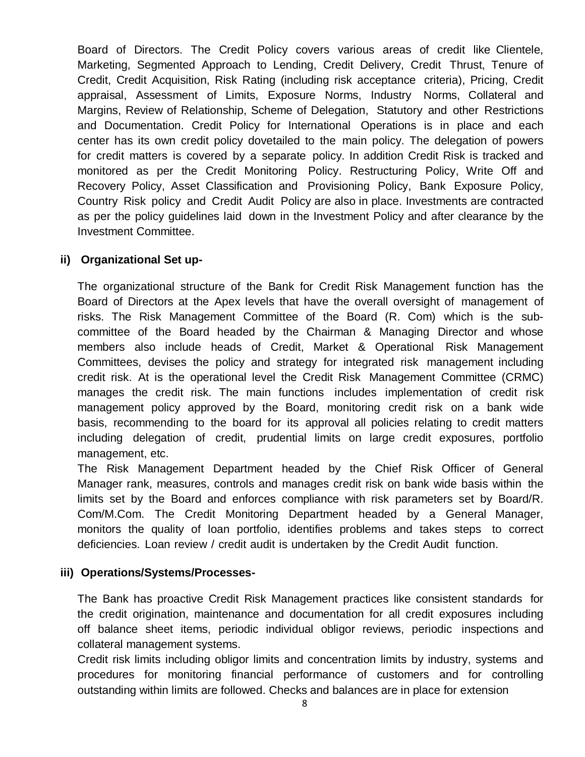Board of Directors. The Credit Policy covers various areas of credit like Clientele, Marketing, Segmented Approach to Lending, Credit Delivery, Credit Thrust, Tenure of Credit, Credit Acquisition, Risk Rating (including risk acceptance criteria), Pricing, Credit appraisal, Assessment of Limits, Exposure Norms, Industry Norms, Collateral and Margins, Review of Relationship, Scheme of Delegation, Statutory and other Restrictions and Documentation. Credit Policy for International Operations is in place and each center has its own credit policy dovetailed to the main policy. The delegation of powers for credit matters is covered by a separate policy. In addition Credit Risk is tracked and monitored as per the Credit Monitoring Policy. Restructuring Policy, Write Off and Recovery Policy, Asset Classification and Provisioning Policy, Bank Exposure Policy, Country Risk policy and Credit Audit Policy are also in place. Investments are contracted as per the policy guidelines laid down in the Investment Policy and after clearance by the Investment Committee.

#### **ii) Organizational Set up-**

The organizational structure of the Bank for Credit Risk Management function has the Board of Directors at the Apex levels that have the overall oversight of management of risks. The Risk Management Committee of the Board (R. Com) which is the subcommittee of the Board headed by the Chairman & Managing Director and whose members also include heads of Credit, Market & Operational Risk Management Committees, devises the policy and strategy for integrated risk management including credit risk. At is the operational level the Credit Risk Management Committee (CRMC) manages the credit risk. The main functions includes implementation of credit risk management policy approved by the Board, monitoring credit risk on a bank wide basis, recommending to the board for its approval all policies relating to credit matters including delegation of credit, prudential limits on large credit exposures, portfolio management, etc.

The Risk Management Department headed by the Chief Risk Officer of General Manager rank, measures, controls and manages credit risk on bank wide basis within the limits set by the Board and enforces compliance with risk parameters set by Board/R. Com/M.Com. The Credit Monitoring Department headed by a General Manager, monitors the quality of loan portfolio, identifies problems and takes steps to correct deficiencies. Loan review / credit audit is undertaken by the Credit Audit function.

#### **iii) Operations/Systems/Processes-**

The Bank has proactive Credit Risk Management practices like consistent standards for the credit origination, maintenance and documentation for all credit exposures including off balance sheet items, periodic individual obligor reviews, periodic inspections and collateral management systems.

Credit risk limits including obligor limits and concentration limits by industry, systems and procedures for monitoring financial performance of customers and for controlling outstanding within limits are followed. Checks and balances are in place for extension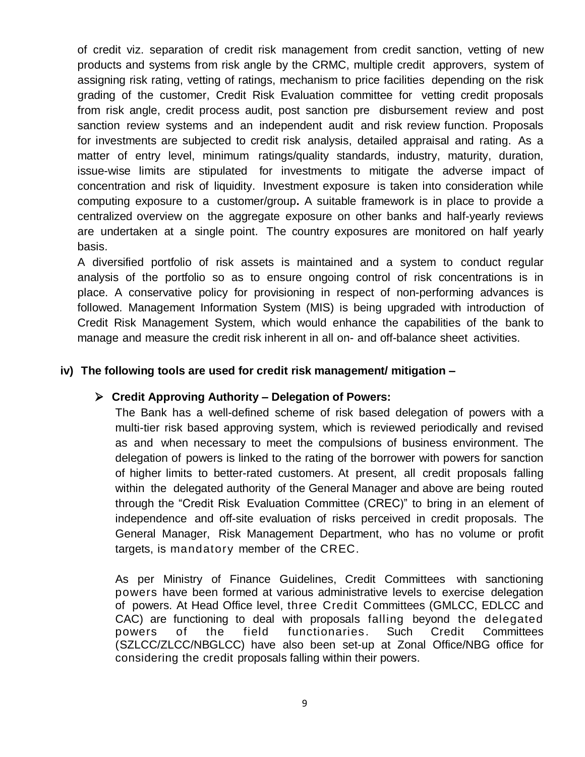of credit viz. separation of credit risk management from credit sanction, vetting of new products and systems from risk angle by the CRMC, multiple credit approvers, system of assigning risk rating, vetting of ratings, mechanism to price facilities depending on the risk grading of the customer, Credit Risk Evaluation committee for vetting credit proposals from risk angle, credit process audit, post sanction pre disbursement review and post sanction review systems and an independent audit and risk review function. Proposals for investments are subjected to credit risk analysis, detailed appraisal and rating. As a matter of entry level, minimum ratings/quality standards, industry, maturity, duration, issue-wise limits are stipulated for investments to mitigate the adverse impact of concentration and risk of liquidity. Investment exposure is taken into consideration while computing exposure to a customer/group**.** A suitable framework is in place to provide a centralized overview on the aggregate exposure on other banks and half-yearly reviews are undertaken at a single point. The country exposures are monitored on half yearly basis.

A diversified portfolio of risk assets is maintained and a system to conduct regular analysis of the portfolio so as to ensure ongoing control of risk concentrations is in place. A conservative policy for provisioning in respect of non-performing advances is followed. Management Information System (MIS) is being upgraded with introduction of Credit Risk Management System, which would enhance the capabilities of the bank to manage and measure the credit risk inherent in all on- and off-balance sheet activities.

#### **iv) The following tools are used for credit risk management/ mitigation –**

#### **Credit Approving Authority – Delegation of Powers:**

The Bank has a well-defined scheme of risk based delegation of powers with a multi-tier risk based approving system, which is reviewed periodically and revised as and when necessary to meet the compulsions of business environment. The delegation of powers is linked to the rating of the borrower with powers for sanction of higher limits to better-rated customers. At present, all credit proposals falling within the delegated authority of the General Manager and above are being routed through the "Credit Risk Evaluation Committee (CREC)" to bring in an element of independence and off-site evaluation of risks perceived in credit proposals. The General Manager, Risk Management Department, who has no volume or profit targets, is mandatory member of the CREC.

As per Ministry of Finance Guidelines, Credit Committees with sanctioning powers have been formed at various administrative levels to exercise delegation of powers. At Head Office level, three Credit Committees (GMLCC, EDLCC and CAC) are functioning to deal with proposals falling beyond the delegated powers of the field functionaries. Such Credit Committees (SZLCC/ZLCC/NBGLCC) have also been set-up at Zonal Office/NBG office for considering the credit proposals falling within their powers.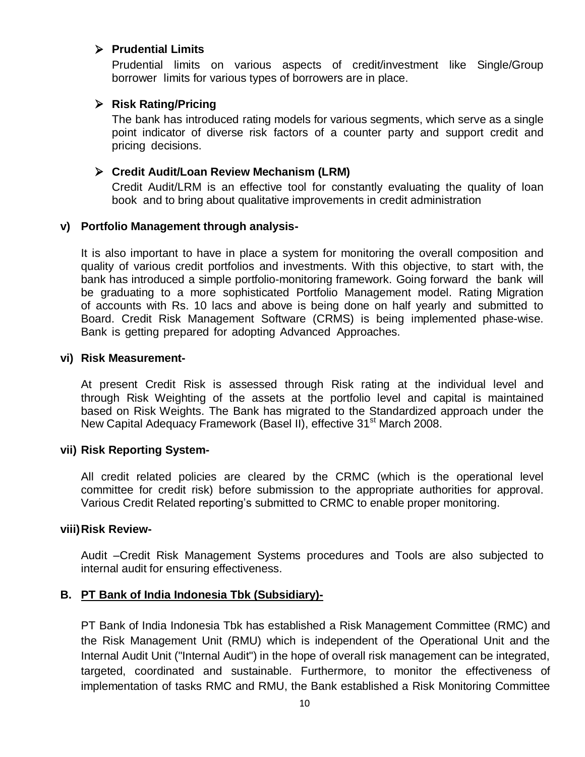#### **Prudential Limits**

Prudential limits on various aspects of credit/investment like Single/Group borrower limits for various types of borrowers are in place.

#### **Risk Rating/Pricing**

The bank has introduced rating models for various segments, which serve as a single point indicator of diverse risk factors of a counter party and support credit and pricing decisions.

#### **Credit Audit/Loan Review Mechanism (LRM)**

Credit Audit/LRM is an effective tool for constantly evaluating the quality of loan book and to bring about qualitative improvements in credit administration

#### **v) Portfolio Management through analysis-**

It is also important to have in place a system for monitoring the overall composition and quality of various credit portfolios and investments. With this objective, to start with, the bank has introduced a simple portfolio-monitoring framework. Going forward the bank will be graduating to a more sophisticated Portfolio Management model. Rating Migration of accounts with Rs. 10 lacs and above is being done on half yearly and submitted to Board. Credit Risk Management Software (CRMS) is being implemented phase-wise. Bank is getting prepared for adopting Advanced Approaches.

#### **vi) Risk Measurement-**

At present Credit Risk is assessed through Risk rating at the individual level and through Risk Weighting of the assets at the portfolio level and capital is maintained based on Risk Weights. The Bank has migrated to the Standardized approach under the New Capital Adequacy Framework (Basel II), effective 31<sup>st</sup> March 2008.

#### **vii) Risk Reporting System-**

All credit related policies are cleared by the CRMC (which is the operational level committee for credit risk) before submission to the appropriate authorities for approval. Various Credit Related reporting"s submitted to CRMC to enable proper monitoring.

#### **viii)Risk Review-**

Audit –Credit Risk Management Systems procedures and Tools are also subjected to internal audit for ensuring effectiveness.

#### **B. PT Bank of India Indonesia Tbk (Subsidiary)-**

PT Bank of India Indonesia Tbk has established a Risk Management Committee (RMC) and the Risk Management Unit (RMU) which is independent of the Operational Unit and the Internal Audit Unit ("Internal Audit") in the hope of overall risk management can be integrated, targeted, coordinated and sustainable. Furthermore, to monitor the effectiveness of implementation of tasks RMC and RMU, the Bank established a Risk Monitoring Committee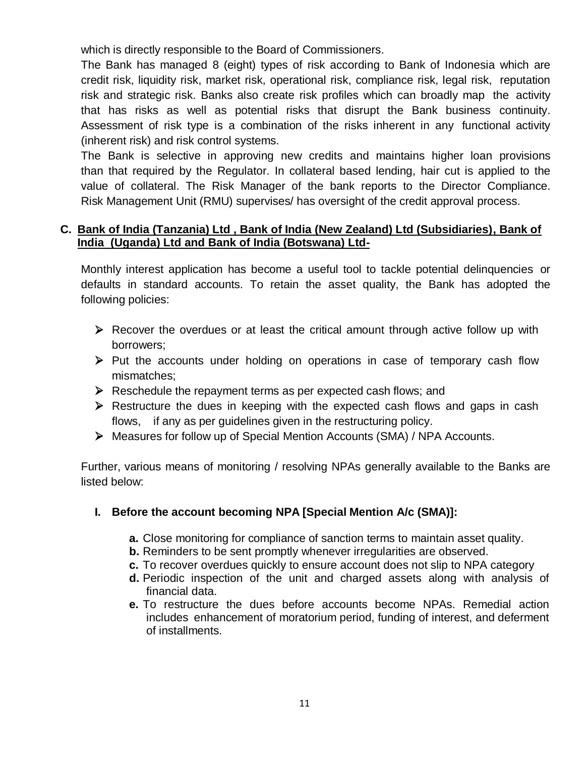which is directly responsible to the Board of Commissioners.

The Bank has managed 8 (eight) types of risk according to Bank of Indonesia which are credit risk, liquidity risk, market risk, operational risk, compliance risk, legal risk, reputation risk and strategic risk. Banks also create risk profiles which can broadly map the activity that has risks as well as potential risks that disrupt the Bank business continuity. Assessment of risk type is a combination of the risks inherent in any functional activity (inherent risk) and risk control systems.

The Bank is selective in approving new credits and maintains higher loan provisions than that required by the Regulator. In collateral based lending, hair cut is applied to the value of collateral. The Risk Manager of the bank reports to the Director Compliance. Risk Management Unit (RMU) supervises/ has oversight of the credit approval process.

#### **C. Bank of India (Tanzania) Ltd , Bank of India (New Zealand) Ltd (Subsidiaries), Bank of India (Uganda) Ltd and Bank of India (Botswana) Ltd-**

Monthly interest application has become a useful tool to tackle potential delinquencies or defaults in standard accounts. To retain the asset quality, the Bank has adopted the following policies:

- $\triangleright$  Recover the overdues or at least the critical amount through active follow up with borrowers;
- $\triangleright$  Put the accounts under holding on operations in case of temporary cash flow mismatches;
- $\triangleright$  Reschedule the repayment terms as per expected cash flows; and
- $\triangleright$  Restructure the dues in keeping with the expected cash flows and gaps in cash flows, if any as per guidelines given in the restructuring policy.
- Measures for follow up of Special Mention Accounts (SMA) / NPA Accounts.

Further, various means of monitoring / resolving NPAs generally available to the Banks are listed below:

### **I. Before the account becoming NPA [Special Mention A/c (SMA)]:**

- **a.** Close monitoring for compliance of sanction terms to maintain asset quality.
- **b.** Reminders to be sent promptly whenever irregularities are observed.
- **c.** To recover overdues quickly to ensure account does not slip to NPA category
- **d.** Periodic inspection of the unit and charged assets along with analysis of financial data.
- **e.** To restructure the dues before accounts become NPAs. Remedial action includes enhancement of moratorium period, funding of interest, and deferment of installments.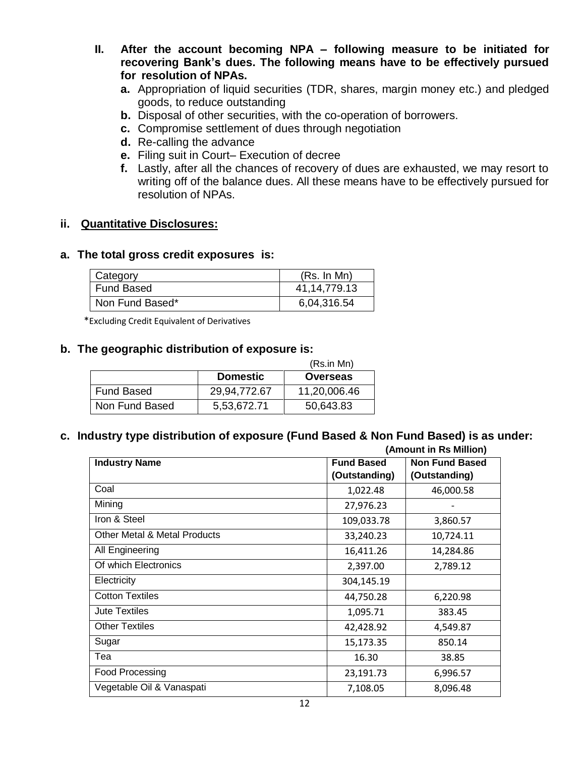- **II. After the account becoming NPA – following measure to be initiated for recovering Bank's dues. The following means have to be effectively pursued for resolution of NPAs.**
	- **a.** Appropriation of liquid securities (TDR, shares, margin money etc.) and pledged goods, to reduce outstanding
	- **b.** Disposal of other securities, with the co-operation of borrowers.
	- **c.** Compromise settlement of dues through negotiation
	- **d.** Re-calling the advance
	- **e.** Filing suit in Court– Execution of decree
	- **f.** Lastly, after all the chances of recovery of dues are exhausted, we may resort to writing off of the balance dues. All these means have to be effectively pursued for resolution of NPAs.

### **ii. Quantitative Disclosures:**

#### **a. The total gross credit exposures is:**

| Category        | (Rs. In Mn)  |
|-----------------|--------------|
| Fund Based      | 41,14,779.13 |
| Non Fund Based* | 6,04,316.54  |

\*Excluding Credit Equivalent of Derivatives

#### **b. The geographic distribution of exposure is:**

|                |                 | (Rs.in Mn)   |
|----------------|-----------------|--------------|
|                | <b>Domestic</b> | Overseas     |
| Fund Based     | 29,94,772.67    | 11,20,006.46 |
| Non Fund Based | 5,53,672.71     | 50,643.83    |

## **c. Industry type distribution of exposure (Fund Based & Non Fund Based) is as under:**

| (Amount in Rs Million)                  |                   |                       |
|-----------------------------------------|-------------------|-----------------------|
| <b>Industry Name</b>                    | <b>Fund Based</b> | <b>Non Fund Based</b> |
|                                         | (Outstanding)     | (Outstanding)         |
| Coal                                    | 1,022.48          | 46,000.58             |
| Mining                                  | 27,976.23         |                       |
| Iron & Steel                            | 109,033.78        | 3,860.57              |
| <b>Other Metal &amp; Metal Products</b> | 33,240.23         | 10,724.11             |
| All Engineering                         | 16,411.26         | 14,284.86             |
| Of which Electronics                    | 2,397.00          | 2,789.12              |
| Electricity                             | 304,145.19        |                       |
| <b>Cotton Textiles</b>                  | 44,750.28         | 6,220.98              |
| Jute Textiles                           | 1,095.71          | 383.45                |
| <b>Other Textiles</b>                   | 42,428.92         | 4,549.87              |
| Sugar                                   | 15,173.35         | 850.14                |
| Tea                                     | 16.30             | 38.85                 |
| Food Processing                         | 23,191.73         | 6,996.57              |
| Vegetable Oil & Vanaspati               | 7,108.05          | 8,096.48              |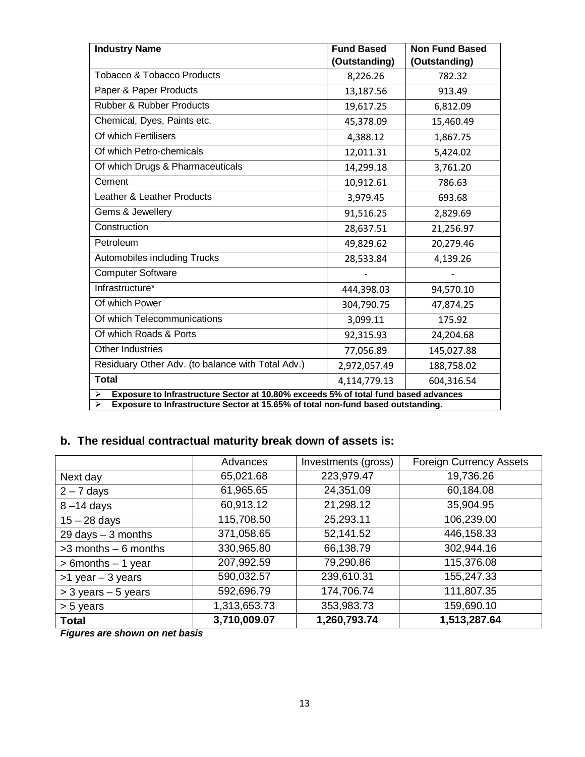| <b>Industry Name</b>                                                                                      | <b>Fund Based</b> | <b>Non Fund Based</b> |  |
|-----------------------------------------------------------------------------------------------------------|-------------------|-----------------------|--|
|                                                                                                           | (Outstanding)     | (Outstanding)         |  |
| <b>Tobacco &amp; Tobacco Products</b>                                                                     | 8,226.26          | 782.32                |  |
| Paper & Paper Products                                                                                    | 13,187.56         | 913.49                |  |
| <b>Rubber &amp; Rubber Products</b>                                                                       | 19,617.25         | 6,812.09              |  |
| Chemical, Dyes, Paints etc.                                                                               | 45,378.09         | 15,460.49             |  |
| Of which Fertilisers                                                                                      | 4,388.12          | 1,867.75              |  |
| Of which Petro-chemicals                                                                                  | 12,011.31         | 5,424.02              |  |
| Of which Drugs & Pharmaceuticals                                                                          | 14,299.18         | 3,761.20              |  |
| Cement                                                                                                    | 10,912.61         | 786.63                |  |
| Leather & Leather Products                                                                                | 3,979.45          | 693.68                |  |
| Gems & Jewellery                                                                                          | 91,516.25         | 2,829.69              |  |
| Construction                                                                                              | 28,637.51         | 21,256.97             |  |
| Petroleum                                                                                                 | 49,829.62         | 20,279.46             |  |
| Automobiles including Trucks                                                                              | 28,533.84         | 4,139.26              |  |
| <b>Computer Software</b>                                                                                  |                   |                       |  |
| Infrastructure*                                                                                           | 444,398.03        | 94,570.10             |  |
| Of which Power                                                                                            | 304,790.75        | 47,874.25             |  |
| Of which Telecommunications                                                                               | 3,099.11          | 175.92                |  |
| Of which Roads & Ports                                                                                    | 92,315.93         | 24,204.68             |  |
| Other Industries                                                                                          | 77,056.89         | 145,027.88            |  |
| Residuary Other Adv. (to balance with Total Adv.)                                                         | 2,972,057.49      | 188,758.02            |  |
| Total                                                                                                     | 4,114,779.13      | 604,316.54            |  |
| Exposure to Infrastructure Sector at 10.80% exceeds 5% of total fund based advances<br>➤                  |                   |                       |  |
| Exposure to Infrastructure Sector at 15.65% of total non-fund based outstanding.<br>$\blacktriangleright$ |                   |                       |  |

# **b. The residual contractual maturity break down of assets is:**

|                                      | Advances     | Investments (gross) | <b>Foreign Currency Assets</b> |
|--------------------------------------|--------------|---------------------|--------------------------------|
| Next day                             | 65,021.68    | 223,979.47          | 19,736.26                      |
| $2 - 7$ days                         | 61,965.65    | 24,351.09           | 60,184.08                      |
| $8 - 14$ days                        | 60,913.12    | 21,298.12           | 35,904.95                      |
| $15 - 28$ days                       | 115,708.50   | 25,293.11           | 106,239.00                     |
| $29 \text{ days} - 3 \text{ months}$ | 371,058.65   | 52,141.52           | 446,158.33                     |
| $>3$ months $-6$ months              | 330,965.80   | 66,138.79           | 302,944.16                     |
| $> 6$ months $- 1$ year              | 207,992.59   | 79,290.86           | 115,376.08                     |
| $>1$ year $-3$ years                 | 590,032.57   | 239,610.31          | 155,247.33                     |
| $>$ 3 years $-$ 5 years              | 592,696.79   | 174,706.74          | 111,807.35                     |
| $> 5$ years                          | 1,313,653.73 | 353,983.73          | 159,690.10                     |
| <b>Total</b>                         | 3,710,009.07 | 1,260,793.74        | 1,513,287.64                   |

*Figures are shown on net basis*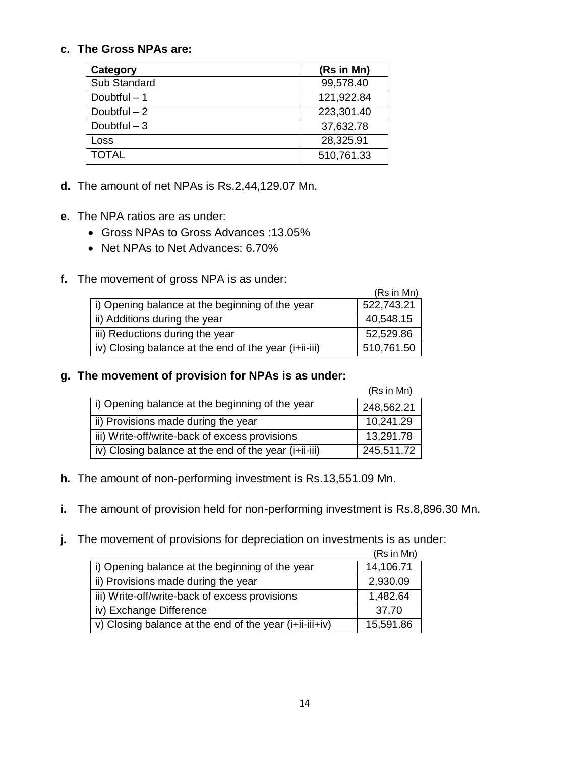#### **c. The Gross NPAs are:**

| <b>Category</b> | (Rs in Mn) |
|-----------------|------------|
| Sub Standard    | 99,578.40  |
| Doubtful $-1$   | 121,922.84 |
| Doubtful $-2$   | 223,301.40 |
| Doubtful $-3$   | 37,632.78  |
| Loss            | 28,325.91  |
| <b>TOTAL</b>    | 510,761.33 |

- **d.** The amount of net NPAs is Rs.2,44,129.07 Mn.
- **e.** The NPA ratios are as under:
	- Gross NPAs to Gross Advances :13.05%
	- Net NPAs to Net Advances: 6.70%
- **f.** The movement of gross NPA is as under:

|                                                       | (Rs in Mn) |
|-------------------------------------------------------|------------|
| i) Opening balance at the beginning of the year       | 522,743.21 |
| ii) Additions during the year                         | 40,548.15  |
| iii) Reductions during the year                       | 52,529.86  |
| iv) Closing balance at the end of the year (i+ii-iii) | 510,761.50 |

#### **g. The movement of provision for NPAs is as under:**

|                                                       | (Rs in Mn) |
|-------------------------------------------------------|------------|
| i) Opening balance at the beginning of the year       | 248,562.21 |
| ii) Provisions made during the year                   | 10,241.29  |
| iii) Write-off/write-back of excess provisions        | 13,291.78  |
| iv) Closing balance at the end of the year (i+ii-iii) | 245,511.72 |

- **h.** The amount of non-performing investment is Rs.13,551.09 Mn.
- **i.** The amount of provision held for non-performing investment is Rs.8,896.30 Mn.
- **j.** The movement of provisions for depreciation on investments is as under:

|                                                         | (Rs in Mn) |
|---------------------------------------------------------|------------|
| i) Opening balance at the beginning of the year         | 14,106.71  |
| ii) Provisions made during the year                     | 2,930.09   |
| iii) Write-off/write-back of excess provisions          | 1,482.64   |
| iv) Exchange Difference                                 | 37.70      |
| v) Closing balance at the end of the year (i+ii-iii+iv) | 15,591.86  |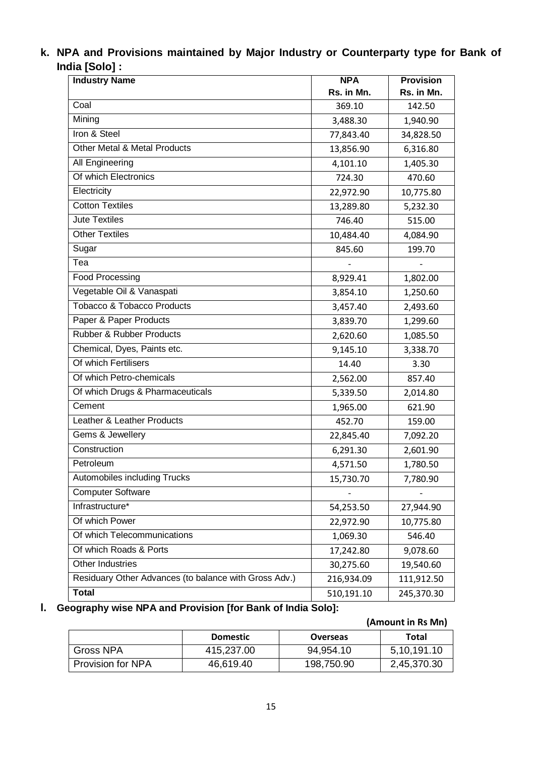| k. NPA and Provisions maintained by Major Industry or Counterparty type for Bank of |  |  |  |
|-------------------------------------------------------------------------------------|--|--|--|
| India [Solo] :                                                                      |  |  |  |

| <b>Industry Name</b>                                  | <b>NPA</b> | <b>Provision</b> |
|-------------------------------------------------------|------------|------------------|
|                                                       | Rs. in Mn. | Rs. in Mn.       |
| Coal                                                  | 369.10     | 142.50           |
| Mining                                                | 3,488.30   | 1,940.90         |
| Iron & Steel                                          | 77,843.40  | 34,828.50        |
| Other Metal & Metal Products                          | 13,856.90  | 6,316.80         |
| All Engineering                                       | 4,101.10   | 1,405.30         |
| Of which Electronics                                  | 724.30     | 470.60           |
| Electricity                                           | 22,972.90  | 10,775.80        |
| <b>Cotton Textiles</b>                                | 13,289.80  | 5,232.30         |
| <b>Jute Textiles</b>                                  | 746.40     | 515.00           |
| <b>Other Textiles</b>                                 | 10,484.40  | 4,084.90         |
| Sugar                                                 | 845.60     | 199.70           |
| Tea                                                   |            |                  |
| <b>Food Processing</b>                                | 8,929.41   | 1,802.00         |
| Vegetable Oil & Vanaspati                             | 3,854.10   | 1,250.60         |
| <b>Tobacco &amp; Tobacco Products</b>                 | 3,457.40   | 2,493.60         |
| Paper & Paper Products                                | 3,839.70   | 1,299.60         |
| <b>Rubber &amp; Rubber Products</b>                   | 2,620.60   | 1,085.50         |
| Chemical, Dyes, Paints etc.                           | 9,145.10   | 3,338.70         |
| Of which Fertilisers                                  | 14.40      | 3.30             |
| Of which Petro-chemicals                              | 2,562.00   | 857.40           |
| Of which Drugs & Pharmaceuticals                      | 5,339.50   | 2,014.80         |
| Cement                                                | 1,965.00   | 621.90           |
| Leather & Leather Products                            | 452.70     | 159.00           |
| Gems & Jewellery                                      | 22,845.40  | 7,092.20         |
| Construction                                          | 6,291.30   | 2,601.90         |
| Petroleum                                             | 4,571.50   | 1,780.50         |
| Automobiles including Trucks                          | 15,730.70  | 7,780.90         |
| <b>Computer Software</b>                              |            |                  |
| Infrastructure*                                       | 54,253.50  | 27,944.90        |
| Of which Power                                        | 22,972.90  | 10,775.80        |
| Of which Telecommunications                           | 1,069.30   | 546.40           |
| Of which Roads & Ports                                | 17,242.80  | 9,078.60         |
| Other Industries                                      | 30,275.60  | 19,540.60        |
| Residuary Other Advances (to balance with Gross Adv.) | 216,934.09 | 111,912.50       |
| <b>Total</b>                                          | 510,191.10 | 245,370.30       |

# **l. Geography wise NPA and Provision [for Bank of India Solo]:**

### **(Amount in Rs Mn) Domestic Overseas** Total Gross NPA 415,237.00 94,954.10 5,10,191.10 Provision for NPA 46,619.40 198,750.90 2,45,370.30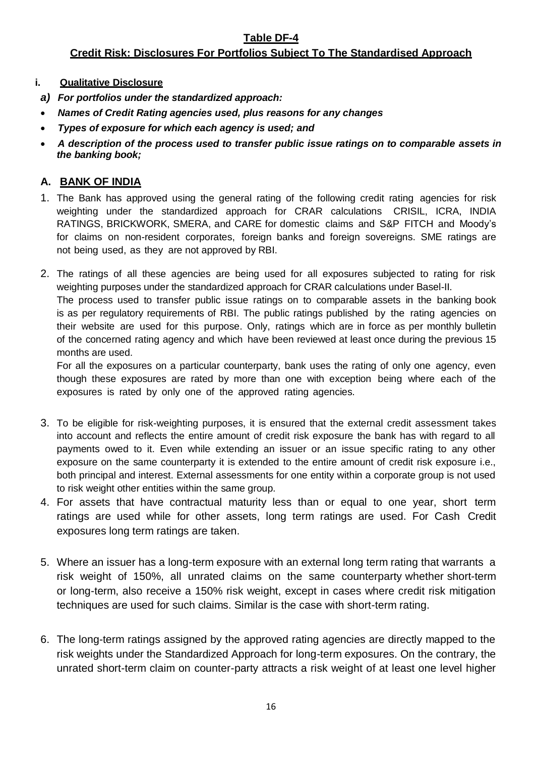#### **Table DF-4**

### **Credit Risk: Disclosures For Portfolios Subject To The Standardised Approach**

#### **i. Qualitative Disclosure**

- *a) For portfolios under the standardized approach:*
- *Names of Credit Rating agencies used, plus reasons for any changes*
- *Types of exposure for which each agency is used; and*
- *A description of the process used to transfer public issue ratings on to comparable assets in the banking book;*

### **A. BANK OF INDIA**

- 1. The Bank has approved using the general rating of the following credit rating agencies for risk weighting under the standardized approach for CRAR calculations CRISIL, ICRA, INDIA RATINGS, BRICKWORK, SMERA, and CARE for domestic claims and S&P FITCH and Moody"s for claims on non-resident corporates, foreign banks and foreign sovereigns. SME ratings are not being used, as they are not approved by RBI.
- 2. The ratings of all these agencies are being used for all exposures subjected to rating for risk weighting purposes under the standardized approach for CRAR calculations under Basel-II.

The process used to transfer public issue ratings on to comparable assets in the banking book is as per regulatory requirements of RBI. The public ratings published by the rating agencies on their website are used for this purpose. Only, ratings which are in force as per monthly bulletin of the concerned rating agency and which have been reviewed at least once during the previous 15 months are used.

For all the exposures on a particular counterparty, bank uses the rating of only one agency, even though these exposures are rated by more than one with exception being where each of the exposures is rated by only one of the approved rating agencies.

- 3. To be eligible for risk-weighting purposes, it is ensured that the external credit assessment takes into account and reflects the entire amount of credit risk exposure the bank has with regard to all payments owed to it. Even while extending an issuer or an issue specific rating to any other exposure on the same counterparty it is extended to the entire amount of credit risk exposure i.e., both principal and interest. External assessments for one entity within a corporate group is not used to risk weight other entities within the same group.
- 4. For assets that have contractual maturity less than or equal to one year, short term ratings are used while for other assets, long term ratings are used. For Cash Credit exposures long term ratings are taken.
- 5. Where an issuer has a long-term exposure with an external long term rating that warrants a risk weight of 150%, all unrated claims on the same counterparty whether short-term or long-term, also receive a 150% risk weight, except in cases where credit risk mitigation techniques are used for such claims. Similar is the case with short-term rating.
- 6. The long-term ratings assigned by the approved rating agencies are directly mapped to the risk weights under the Standardized Approach for long-term exposures. On the contrary, the unrated short-term claim on counter-party attracts a risk weight of at least one level higher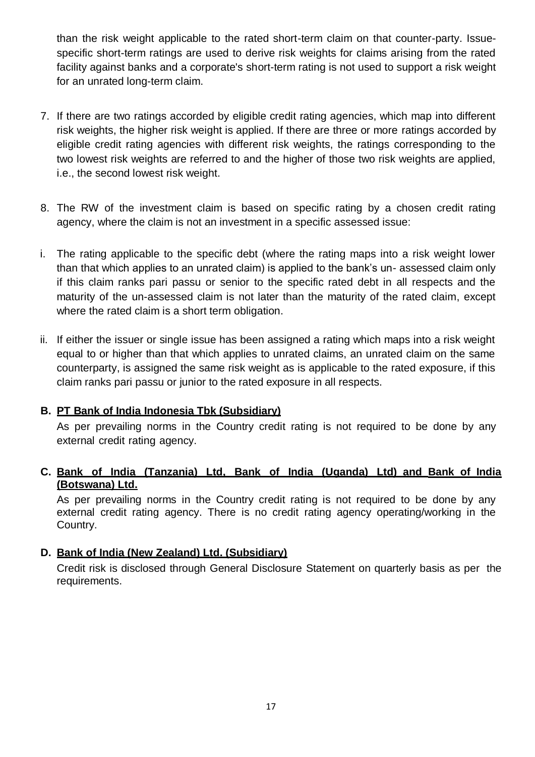than the risk weight applicable to the rated short-term claim on that counter-party. Issuespecific short-term ratings are used to derive risk weights for claims arising from the rated facility against banks and a corporate's short-term rating is not used to support a risk weight for an unrated long-term claim.

- 7. If there are two ratings accorded by eligible credit rating agencies, which map into different risk weights, the higher risk weight is applied. If there are three or more ratings accorded by eligible credit rating agencies with different risk weights, the ratings corresponding to the two lowest risk weights are referred to and the higher of those two risk weights are applied, i.e., the second lowest risk weight.
- 8. The RW of the investment claim is based on specific rating by a chosen credit rating agency, where the claim is not an investment in a specific assessed issue:
- i. The rating applicable to the specific debt (where the rating maps into a risk weight lower than that which applies to an unrated claim) is applied to the bank"s un- assessed claim only if this claim ranks pari passu or senior to the specific rated debt in all respects and the maturity of the un-assessed claim is not later than the maturity of the rated claim, except where the rated claim is a short term obligation.
- ii. If either the issuer or single issue has been assigned a rating which maps into a risk weight equal to or higher than that which applies to unrated claims, an unrated claim on the same counterparty, is assigned the same risk weight as is applicable to the rated exposure, if this claim ranks pari passu or junior to the rated exposure in all respects.

### **B. PT Bank of India Indonesia Tbk (Subsidiary)**

As per prevailing norms in the Country credit rating is not required to be done by any external credit rating agency.

### **C. Bank of India (Tanzania) Ltd, Bank of India (Uganda) Ltd) and Bank of India (Botswana) Ltd.**

As per prevailing norms in the Country credit rating is not required to be done by any external credit rating agency. There is no credit rating agency operating/working in the Country.

### **D. Bank of India (New Zealand) Ltd. (Subsidiary)**

Credit risk is disclosed through General Disclosure Statement on quarterly basis as per the requirements.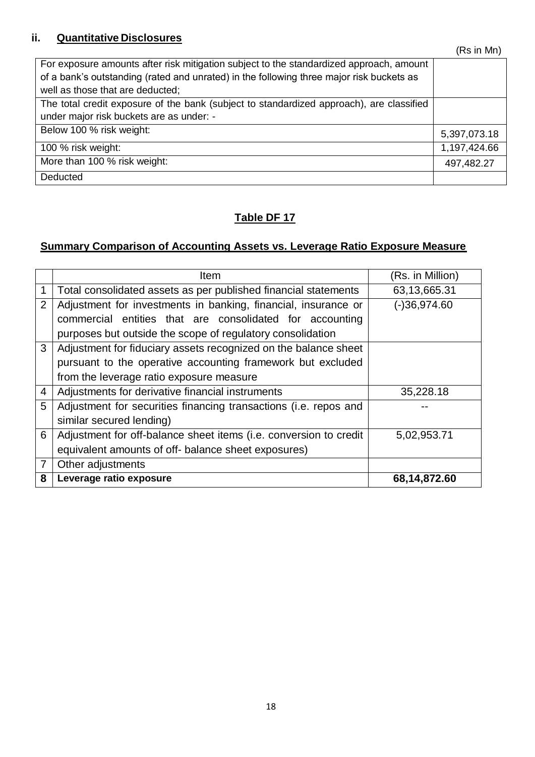## **ii. Quantitative Disclosures**

| For exposure amounts after risk mitigation subject to the standardized approach, amount<br>of a bank's outstanding (rated and unrated) in the following three major risk buckets as |              |
|-------------------------------------------------------------------------------------------------------------------------------------------------------------------------------------|--------------|
| well as those that are deducted;                                                                                                                                                    |              |
| The total credit exposure of the bank (subject to standardized approach), are classified                                                                                            |              |
| under major risk buckets are as under: -                                                                                                                                            |              |
| Below 100 % risk weight:                                                                                                                                                            | 5,397,073.18 |
| 100 % risk weight:                                                                                                                                                                  | 1,197,424.66 |
| More than 100 % risk weight:                                                                                                                                                        | 497,482.27   |
| Deducted                                                                                                                                                                            |              |

### **Table DF 17**

# **Summary Comparison of Accounting Assets vs. Leverage Ratio Exposure Measure**

|                | <b>Item</b>                                                       | (Rs. in Million) |
|----------------|-------------------------------------------------------------------|------------------|
|                | Total consolidated assets as per published financial statements   | 63,13,665.31     |
| $\overline{2}$ | Adjustment for investments in banking, financial, insurance or    | $(-)36,974.60$   |
|                | commercial entities that are consolidated for accounting          |                  |
|                | purposes but outside the scope of regulatory consolidation        |                  |
| 3              | Adjustment for fiduciary assets recognized on the balance sheet   |                  |
|                | pursuant to the operative accounting framework but excluded       |                  |
|                | from the leverage ratio exposure measure                          |                  |
| $\overline{4}$ | Adjustments for derivative financial instruments                  | 35,228.18        |
| 5              | Adjustment for securities financing transactions (i.e. repos and  |                  |
|                | similar secured lending)                                          |                  |
| 6              | Adjustment for off-balance sheet items (i.e. conversion to credit | 5,02,953.71      |
|                | equivalent amounts of off- balance sheet exposures)               |                  |
| 7              | Other adjustments                                                 |                  |
| 8              | Leverage ratio exposure                                           | 68,14,872.60     |